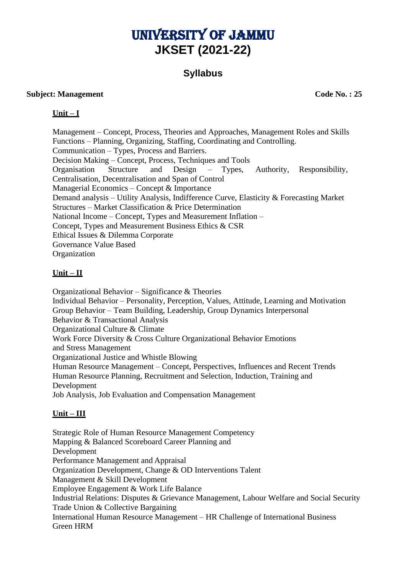# University of Jammu **JKSET (2021-22)**

# **Syllabus**

#### **Subject: Management** Code No. : 25

**Unit – I**

Management – Concept, Process, Theories and Approaches, Management Roles and Skills Functions – Planning, Organizing, Staffing, Coordinating and Controlling. Communication – Types, Process and Barriers. Decision Making – Concept, Process, Techniques and Tools Organisation Structure and Design – Types, Authority, Responsibility, Centralisation, Decentralisation and Span of Control Managerial Economics – Concept & Importance Demand analysis – Utility Analysis, Indifference Curve, Elasticity & Forecasting Market Structures – Market Classification & Price Determination National Income – Concept, Types and Measurement Inflation – Concept, Types and Measurement Business Ethics & CSR Ethical Issues & Dilemma Corporate Governance Value Based **Organization** 

#### **Unit – II**

Organizational Behavior – Significance & Theories Individual Behavior – Personality, Perception, Values, Attitude, Learning and Motivation Group Behavior – Team Building, Leadership, Group Dynamics Interpersonal Behavior & Transactional Analysis Organizational Culture & Climate Work Force Diversity & Cross Culture Organizational Behavior Emotions and Stress Management Organizational Justice and Whistle Blowing Human Resource Management – Concept, Perspectives, Influences and Recent Trends Human Resource Planning, Recruitment and Selection, Induction, Training and Development Job Analysis, Job Evaluation and Compensation Management

#### **Unit – III**

Strategic Role of Human Resource Management Competency Mapping & Balanced Scoreboard Career Planning and Development Performance Management and Appraisal Organization Development, Change & OD Interventions Talent Management & Skill Development Employee Engagement & Work Life Balance Industrial Relations: Disputes & Grievance Management, Labour Welfare and Social Security Trade Union & Collective Bargaining International Human Resource Management – HR Challenge of International Business Green HRM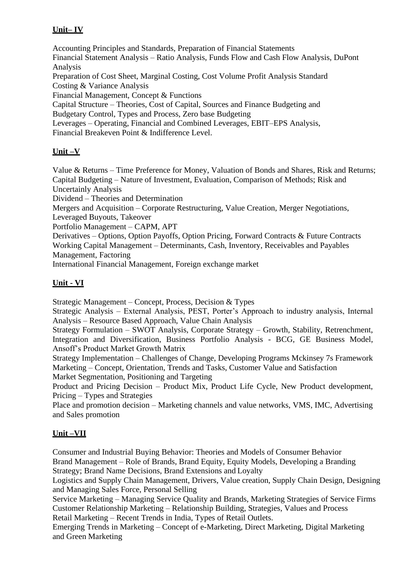### **Unit– IV**

Accounting Principles and Standards, Preparation of Financial Statements Financial Statement Analysis – Ratio Analysis, Funds Flow and Cash Flow Analysis, DuPont Analysis Preparation of Cost Sheet, Marginal Costing, Cost Volume Profit Analysis Standard Costing & Variance Analysis Financial Management, Concept & Functions Capital Structure – Theories, Cost of Capital, Sources and Finance Budgeting and Budgetary Control, Types and Process, Zero base Budgeting Leverages – Operating, Financial and Combined Leverages, EBIT–EPS Analysis, Financial Breakeven Point & Indifference Level.

# **Unit –V**

Value & Returns – Time Preference for Money, Valuation of Bonds and Shares, Risk and Returns; Capital Budgeting – Nature of Investment, Evaluation, Comparison of Methods; Risk and Uncertainly Analysis

Dividend – Theories and Determination

Mergers and Acquisition – Corporate Restructuring, Value Creation, Merger Negotiations,

Leveraged Buyouts, Takeover

Portfolio Management – CAPM, APT

Derivatives – Options, Option Payoffs, Option Pricing, Forward Contracts & Future Contracts Working Capital Management – Determinants, Cash, Inventory, Receivables and Payables Management, Factoring

International Financial Management, Foreign exchange market

## **Unit - VI**

Strategic Management – Concept, Process, Decision & Types

Strategic Analysis – External Analysis, PEST, Porter's Approach to industry analysis, Internal Analysis – Resource Based Approach, Value Chain Analysis

Strategy Formulation – SWOT Analysis, Corporate Strategy – Growth, Stability, Retrenchment, Integration and Diversification, Business Portfolio Analysis - BCG, GE Business Model, Ansoff's Product Market Growth Matrix

Strategy Implementation – Challenges of Change, Developing Programs Mckinsey 7s Framework Marketing – Concept, Orientation, Trends and Tasks, Customer Value and Satisfaction

Market Segmentation, Positioning and Targeting

Product and Pricing Decision – Product Mix, Product Life Cycle, New Product development, Pricing – Types and Strategies

Place and promotion decision – Marketing channels and value networks, VMS, IMC, Advertising and Sales promotion

#### **Unit –VII**

Consumer and Industrial Buying Behavior: Theories and Models of Consumer Behavior Brand Management – Role of Brands, Brand Equity, Equity Models, Developing a Branding Strategy; Brand Name Decisions, Brand Extensions and Loyalty

Logistics and Supply Chain Management, Drivers, Value creation, Supply Chain Design, Designing and Managing Sales Force, Personal Selling

Service Marketing – Managing Service Quality and Brands, Marketing Strategies of Service Firms Customer Relationship Marketing – Relationship Building, Strategies, Values and Process Retail Marketing – Recent Trends in India, Types of Retail Outlets.

Emerging Trends in Marketing – Concept of e-Marketing, Direct Marketing, Digital Marketing and Green Marketing